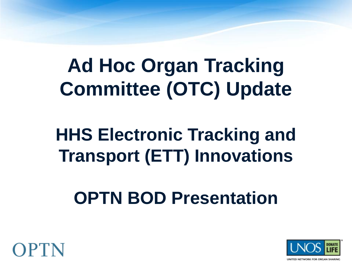### **Ad Hoc Organ Tracking Committee (OTC) Update**

### **HHS Electronic Tracking and Transport (ETT) Innovations**

### **OPTN BOD Presentation**



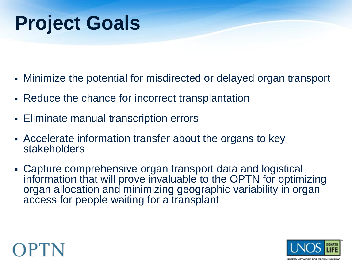### **Project Goals**

- Minimize the potential for misdirected or delayed organ transport
- Reduce the chance for incorrect transplantation
- Eliminate manual transcription errors
- Accelerate information transfer about the organs to key stakeholders
- Capture comprehensive organ transport data and logistical information that will prove invaluable to the OPTN for optimizing organ allocation and minimizing geographic variability in organ access for people waiting for a transplant



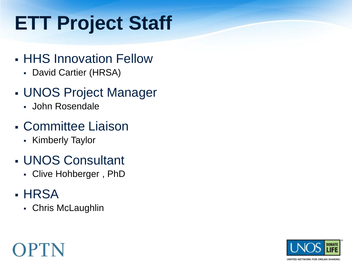## **ETT Project Staff**

- HHS Innovation Fellow
	- David Cartier (HRSA)
- UNOS Project Manager
	- John Rosendale
- Committee Liaison
	- Kimberly Taylor
- UNOS Consultant
	- Clive Hohberger , PhD
- HRSA
	- Chris McLaughlin

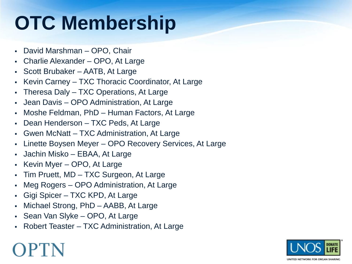## **OTC Membership**

- David Marshman OPO, Chair
- Charlie Alexander OPO, At Large
- Scott Brubaker AATB, At Large
- Kevin Carney TXC Thoracic Coordinator, At Large
- Theresa Daly TXC Operations, At Large
- Jean Davis OPO Administration, At Large
- Moshe Feldman, PhD Human Factors, At Large
- Dean Henderson TXC Peds, At Large
- Gwen McNatt TXC Administration, At Large
- Linette Boysen Meyer OPO Recovery Services, At Large
- Jachin Misko EBAA, At Large
- $\blacktriangleright$  Kevin Myer OPO, At Large
- Tim Pruett, MD TXC Surgeon, At Large
- Meg Rogers OPO Administration, At Large
- Gigi Spicer TXC KPD, At Large
- Michael Strong, PhD AABB, At Large
- Sean Van Slyke OPO, At Large
- Robert Teaster TXC Administration, At Large

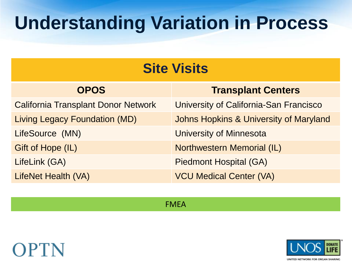### **Understanding Variation in Process**

| <b>OPOS</b>                                | <b>Transplant Centers</b>              |
|--------------------------------------------|----------------------------------------|
| <b>California Transplant Donor Network</b> | University of California-San Francisco |
| <b>Living Legacy Foundation (MD)</b>       | Johns Hopkins & University of Maryland |
| LifeSource (MN)                            | <b>University of Minnesota</b>         |
| Gift of Hope (IL)                          | <b>Northwestern Memorial (IL)</b>      |
| LifeLink (GA)                              | <b>Piedmont Hospital (GA)</b>          |
| LifeNet Health (VA)                        | <b>VCU Medical Center (VA)</b>         |

FMEA



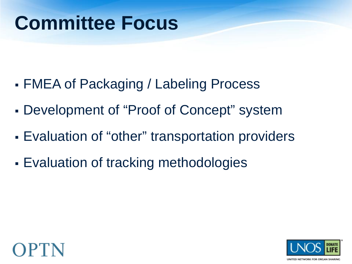### **Committee Focus**

- FMEA of Packaging / Labeling Process
- Development of "Proof of Concept" system
- Evaluation of "other" transportation providers
- **Evaluation of tracking methodologies**



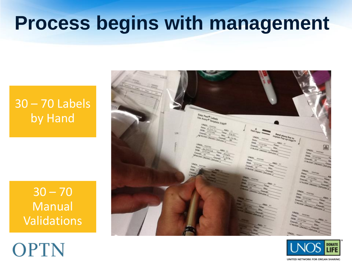### **Process begins with management**

### 30 – 70 Labels by Hand

 $30 - 70$ Manual Validations

**OPTN** 



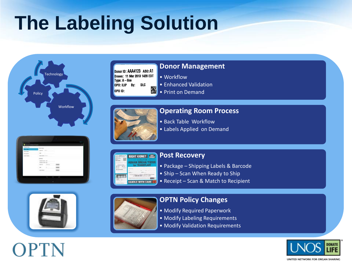## **The Labeling Solution**



Donor ID: AAA4123 ABO: A1 Drawn: 11 Mar 2013 1428 EDT  $Type: A - line$ OPO: ILIP By: DLC 灐 OPO ID:

### **Donor Management**

- Workflow
- Enhanced Validation
- Print on Demand

### **Operating Room Process**

- Back Table Workflow
- Labels Applied on Demand







### **Post Recovery**

- Package Shipping Labels & Barcode
- Ship Scan When Ready to Ship
- Receipt Scan & Match to Recipient



### **OPTN Policy Changes**

- Modify Required Paperwork
- Modify Labeling Requirements
- Modify Validation Requirements

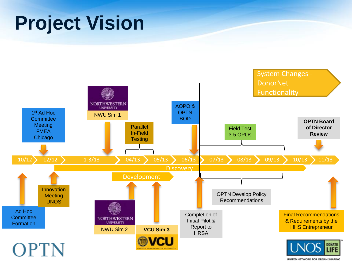### **Project Vision**



UNITED NETWORK FOR ORGAN SHARING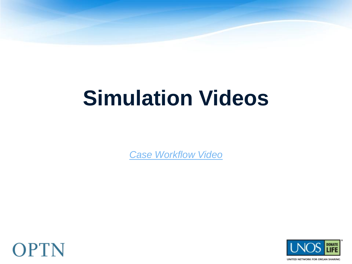# **Simulation Videos**

*Case Workflow Video*



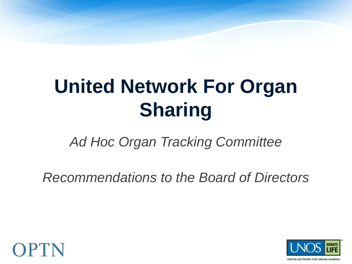## **United Network For Organ Sharing**

*Ad Hoc Organ Tracking Committee*

*Recommendations to the Board of Directors*



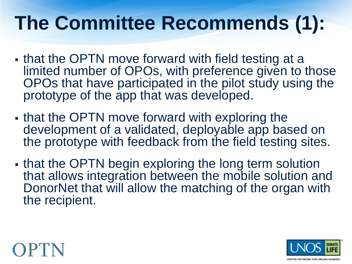### **The Committee Recommends (1):**

- that the OPTN move forward with field testing at a limited number of OPOs, with preference given to those OPOs that have participated in the pilot study using the prototype of the app that was developed.
- that the OPTN move forward with exploring the development of a validated, deployable app based on the prototype with feedback from the field testing sites.
- that the OPTN begin exploring the long term solution that allows integration between the mobile solution and DonorNet that will allow the matching of the organ with the recipient.



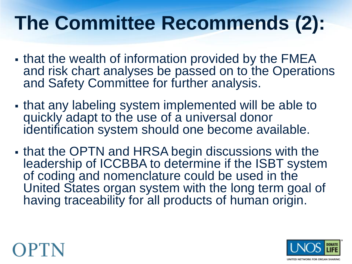### **The Committee Recommends (2):**

- . that the wealth of information provided by the FMEA and risk chart analyses be passed on to the Operations and Safety Committee for further analysis.
- that any labeling system implemented will be able to quickly adapt to the use of a universal donor identification system should one become available.
- that the OPTN and HRSA begin discussions with the leadership of ICCBBA to determine if the ISBT system of coding and nomenclature could be used in the United States organ system with the long term goal of having traceability for all products of human origin.



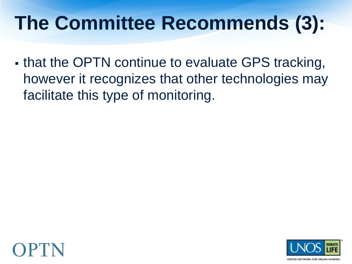### **The Committee Recommends (3):**

• that the OPTN continue to evaluate GPS tracking, however it recognizes that other technologies may facilitate this type of monitoring.



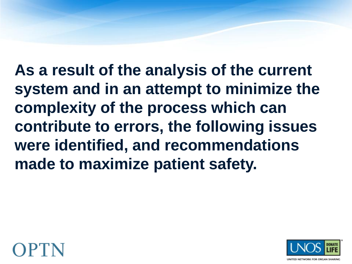**As a result of the analysis of the current system and in an attempt to minimize the complexity of the process which can contribute to errors, the following issues were identified, and recommendations made to maximize patient safety.**



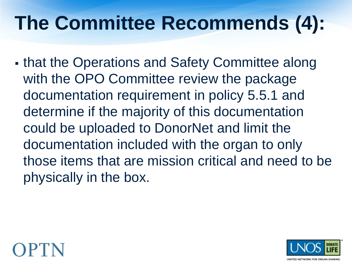### **The Committee Recommends (4):**

 that the Operations and Safety Committee along with the OPO Committee review the package documentation requirement in policy 5.5.1 and determine if the majority of this documentation could be uploaded to DonorNet and limit the documentation included with the organ to only those items that are mission critical and need to be physically in the box.



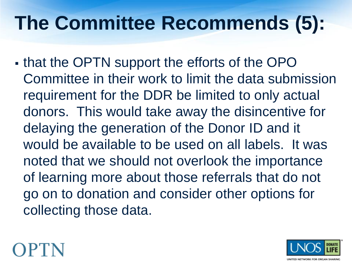### **The Committee Recommends (5):**

• that the OPTN support the efforts of the OPO Committee in their work to limit the data submission requirement for the DDR be limited to only actual donors. This would take away the disincentive for delaying the generation of the Donor ID and it would be available to be used on all labels. It was noted that we should not overlook the importance of learning more about those referrals that do not go on to donation and consider other options for collecting those data.



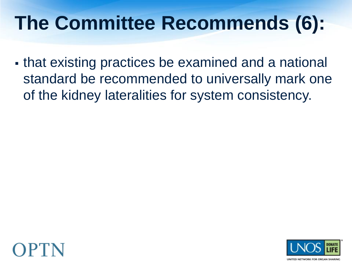### **The Committee Recommends (6):**

 that existing practices be examined and a national standard be recommended to universally mark one of the kidney lateralities for system consistency.